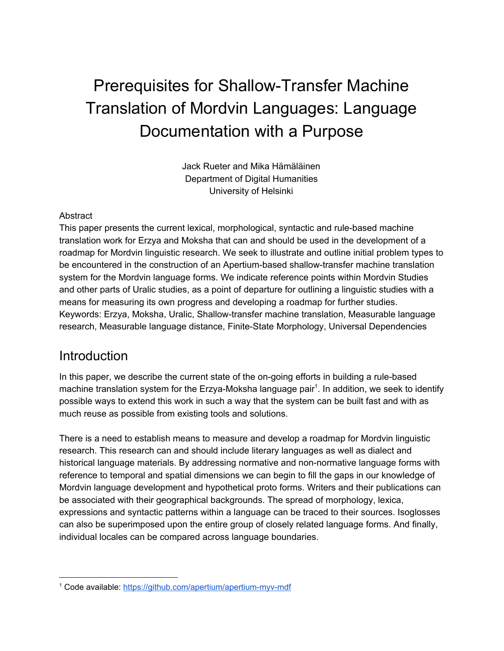# Prerequisites for Shallow-Transfer Machine Translation of Mordvin Languages: Language Documentation with a Purpose

Jack Rueter and Mika Hämäläinen Department of Digital Humanities University of Helsinki

#### **Abstract**

This paper presents the current lexical, morphological, syntactic and rule-based machine translation work for Erzya and Moksha that can and should be used in the development of a roadmap for Mordvin linguistic research. We seek to illustrate and outline initial problem types to be encountered in the construction of an Apertium-based shallow-transfer machine translation system for the Mordvin language forms. We indicate reference points within Mordvin Studies and other parts of Uralic studies, as a point of departure for outlining a linguistic studies with a means for measuring its own progress and developing a roadmap for further studies. Keywords: Erzya, Moksha, Uralic, Shallow-transfer machine translation, Measurable language research, Measurable language distance, Finite-State Morphology, Universal Dependencies

#### Introduction

In this paper, we describe the current state of the on-going efforts in building a rule-based machine translation system for the Erzya-Moksha language pair<sup>1</sup>. In addition, we seek to identify possible ways to extend this work in such a way that the system can be built fast and with as much reuse as possible from existing tools and solutions.

There is a need to establish means to measure and develop a roadmap for Mordvin linguistic research. This research can and should include literary languages as well as dialect and historical language materials. By addressing normative and non-normative language forms with reference to temporal and spatial dimensions we can begin to fill the gaps in our knowledge of Mordvin language development and hypothetical proto forms. Writers and their publications can be associated with their geographical backgrounds. The spread of morphology, lexica, expressions and syntactic patterns within a language can be traced to their sources. Isoglosses can also be superimposed upon the entire group of closely related language forms. And finally, individual locales can be compared across language boundaries.

<sup>1</sup> Code available: <https://github.com/apertium/apertium-myv-mdf>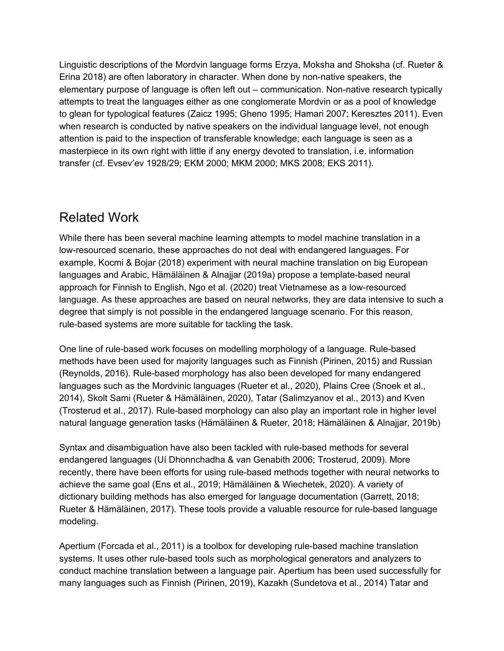Linguistic descriptions of the Mordvin language forms Erzya, Moksha and Shoksha (cf. Rueter & Erina 2018) are often laboratory in character. When done by non-native speakers, the elementary purpose of language is often left out – communication. Non-native research typically attempts to treat the languages either as one conglomerate Mordvin or as a pool of knowledge to glean for typological features (Zaicz 1995; Gheno 1995; Hamari 2007; Keresztes 2011). Even when research is conducted by native speakers on the individual language level, not enough attention is paid to the inspection of transferable knowledge; each language is seen as a masterpiece in its own right with little if any energy devoted to translation, i.e. information transfer (cf. Evsevʹev 1928/29; EKM 2000; MKM 2000; MKS 2008; EKS 2011).

## Related Work

While there has been several machine learning attempts to model machine translation in a low-resourced scenario, these approaches do not deal with endangered languages. For example, Kocmi & Bojar (2018) experiment with neural machine translation on big European languages and Arabic, Hämäläinen & Alnajjar (2019a) propose a template-based neural approach for Finnish to English, Ngo et al. (2020) treat Vietnamese as a low-resourced language. As these approaches are based on neural networks, they are data intensive to such a degree that simply is not possible in the endangered language scenario. For this reason, rule-based systems are more suitable for tackling the task.

One line of rule-based work focuses on modelling morphology of a language. Rule-based methods have been used for majority languages such as Finnish (Pirinen, 2015) and Russian (Reynolds, 2016). Rule-based morphology has also been developed for many endangered languages such as the Mordvinic languages (Rueter et al., 2020), Plains Cree (Snoek et al., 2014), Skolt Sami (Rueter & Hämäläinen, 2020), Tatar (Salimzyanov et al., 2013) and Kven (Trosterud et al., 2017). Rule-based morphology can also play an important role in higher level natural language generation tasks (Hämäläinen & Rueter, 2018; Hämäläinen & Alnajjar, 2019b)

Syntax and disambiguation have also been tackled with rule-based methods for several endangered languages (Uí Dhonnchadha & van Genabith 2006; Trosterud, 2009). More recently, there have been efforts for using rule-based methods together with neural networks to achieve the same goal (Ens et al., 2019; Hämäläinen & Wiechetek, 2020). A variety of dictionary building methods has also emerged for language documentation (Garrett, 2018; Rueter & Hämäläinen, 2017). These tools provide a valuable resource for rule-based language modeling.

Apertium (Forcada et al., 2011) is a toolbox for developing rule-based machine translation systems. It uses other rule-based tools such as morphological generators and analyzers to conduct machine translation between a language pair. Apertium has been used successfully for many languages such as Finnish (Pirinen, 2019), Kazakh (Sundetova et al., 2014) Tatar and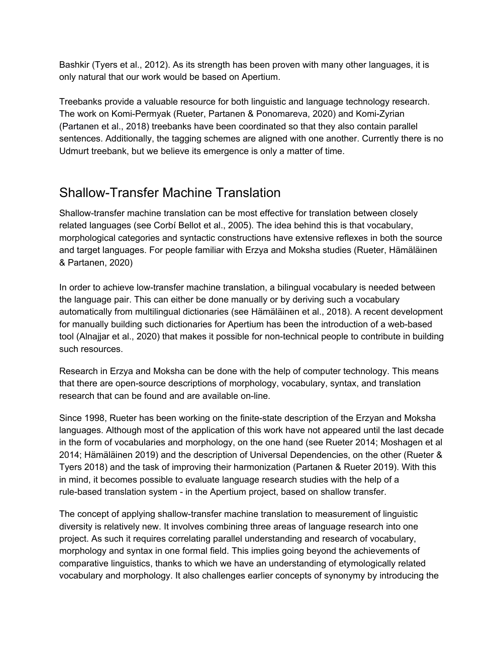Bashkir (Tyers et al., 2012). As its strength has been proven with many other languages, it is only natural that our work would be based on Apertium.

Treebanks provide a valuable resource for both linguistic and language technology research. The work on Komi-Permyak (Rueter, Partanen & Ponomareva, 2020) and Komi-Zyrian (Partanen et al., 2018) treebanks have been coordinated so that they also contain parallel sentences. Additionally, the tagging schemes are aligned with one another. Currently there is no Udmurt treebank, but we believe its emergence is only a matter of time.

# Shallow-Transfer Machine Translation

Shallow-transfer machine translation can be most effective for translation between closely related languages (see Corbí Bellot et al., 2005). The idea behind this is that vocabulary, morphological categories and syntactic constructions have extensive reflexes in both the source and target languages. For people familiar with Erzya and Moksha studies (Rueter, Hämäläinen & Partanen, 2020)

In order to achieve low-transfer machine translation, a bilingual vocabulary is needed between the language pair. This can either be done manually or by deriving such a vocabulary automatically from multilingual dictionaries (see Hämäläinen et al., 2018). A recent development for manually building such dictionaries for Apertium has been the introduction of a web-based tool (Alnajjar et al., 2020) that makes it possible for non-technical people to contribute in building such resources.

Research in Erzya and Moksha can be done with the help of computer technology. This means that there are open-source descriptions of morphology, vocabulary, syntax, and translation research that can be found and are available on-line.

Since 1998, Rueter has been working on the finite-state description of the Erzyan and Moksha languages. Although most of the application of this work have not appeared until the last decade in the form of vocabularies and morphology, on the one hand (see Rueter 2014; Moshagen et al 2014; Hämäläinen 2019) and the description of Universal Dependencies, on the other (Rueter & Tyers 2018) and the task of improving their harmonization (Partanen & Rueter 2019). With this in mind, it becomes possible to evaluate language research studies with the help of a rule-based translation system - in the Apertium project, based on shallow transfer.

The concept of applying shallow-transfer machine translation to measurement of linguistic diversity is relatively new. It involves combining three areas of language research into one project. As such it requires correlating parallel understanding and research of vocabulary, morphology and syntax in one formal field. This implies going beyond the achievements of comparative linguistics, thanks to which we have an understanding of etymologically related vocabulary and morphology. It also challenges earlier concepts of synonymy by introducing the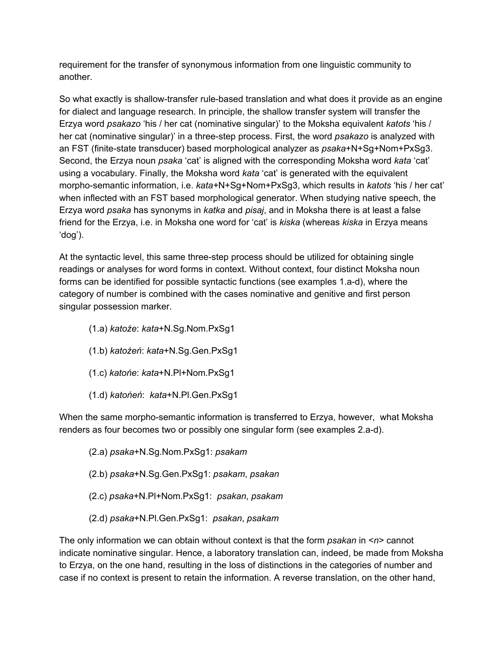requirement for the transfer of synonymous information from one linguistic community to another.

So what exactly is shallow-transfer rule-based translation and what does it provide as an engine for dialect and language research. In principle, the shallow transfer system will transfer the Erzya word *psakazo* 'his / her cat (nominative singular)' to the Moksha equivalent *katots* 'his / her cat (nominative singular)' in a three-step process. First, the word *psakazo* is analyzed with an FST (finite-state transducer) based morphological analyzer as *psaka*+N+Sg+Nom+PxSg3. Second, the Erzya noun *psaka* 'cat' is aligned with the corresponding Moksha word *kata* 'cat' using a vocabulary. Finally, the Moksha word *kata* 'cat' is generated with the equivalent morpho-semantic information, i.e. *kata+*N+Sg+Nom+PxSg3, which results in *katots* 'his / her cat' when inflected with an FST based morphological generator. When studying native speech, the Erzya word *psaka* has synonyms in *katka* and *pisaj*, and in Moksha there is at least a false friend for the Erzya, i.e. in Moksha one word for 'cat' is *kiska* (whereas *kiska* in Erzya means 'dog').

At the syntactic level, this same three-step process should be utilized for obtaining single readings or analyses for word forms in context. Without context, four distinct Moksha noun forms can be identified for possible syntactic functions (see examples 1.a-d), where the category of number is combined with the cases nominative and genitive and first person singular possession marker.

- (1.a) *katoźe*: *kata*+N.Sg.Nom.PxSg1
- (1.b) *katoźeń*: *kata*+N.Sg.Gen.PxSg1
- (1.c) *katońe*: *kata*+N.Pl+Nom.PxSg1
- (1.d) *katońeń*: *kata*+N.Pl.Gen.PxSg1

When the same morpho-semantic information is transferred to Erzya, however, what Moksha renders as four becomes two or possibly one singular form (see examples 2.a-d).

(2.a) *psaka*+N.Sg.Nom.PxSg1: *psakam* (2.b) *psaka*+N.Sg.Gen.PxSg1: *psakam*, *psakan* (2.c) *psaka*+N.Pl+Nom.PxSg1: *psakan*, *psakam* (2.d) *psaka*+N.Pl.Gen.PxSg1: *psakan*, *psakam*

The only information we can obtain without context is that the form *psakan* in <*n*> cannot indicate nominative singular. Hence, a laboratory translation can, indeed, be made from Moksha to Erzya, on the one hand, resulting in the loss of distinctions in the categories of number and case if no context is present to retain the information. A reverse translation, on the other hand,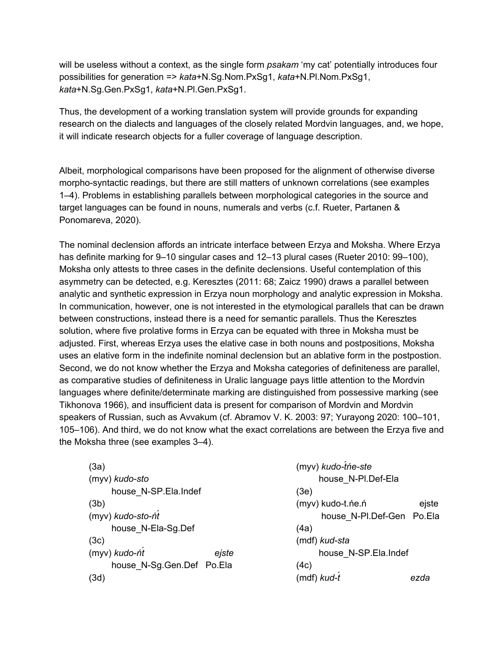will be useless without a context, as the single form *psakam* 'my cat' potentially introduces four possibilities for generation => *kata*+N.Sg.Nom.PxSg1, *kata*+N.Pl.Nom.PxSg1, *kata*+N.Sg.Gen.PxSg1, *kata*+N.Pl.Gen.PxSg1.

Thus, the development of a working translation system will provide grounds for expanding research on the dialects and languages of the closely related Mordvin languages, and, we hope, it will indicate research objects for a fuller coverage of language description.

Albeit, morphological comparisons have been proposed for the alignment of otherwise diverse morpho-syntactic readings, but there are still matters of unknown correlations (see examples 1–4). Problems in establishing parallels between morphological categories in the source and target languages can be found in nouns, numerals and verbs (c.f. Rueter, Partanen & Ponomareva, 2020).

The nominal declension affords an intricate interface between Erzya and Moksha. Where Erzya has definite marking for 9–10 singular cases and 12–13 plural cases (Rueter 2010: 99–100), Moksha only attests to three cases in the definite declensions. Useful contemplation of this asymmetry can be detected, e.g. Keresztes (2011: 68; Zaicz 1990) draws a parallel between analytic and synthetic expression in Erzya noun morphology and analytic expression in Moksha. In communication, however, one is not interested in the etymological parallels that can be drawn between constructions, instead there is a need for semantic parallels. Thus the Keresztes solution, where five prolative forms in Erzya can be equated with three in Moksha must be adjusted. First, whereas Erzya uses the elative case in both nouns and postpositions, Moksha uses an elative form in the indefinite nominal declension but an ablative form in the postpostion. Second, we do not know whether the Erzya and Moksha categories of definiteness are parallel, as comparative studies of definiteness in Uralic language pays little attention to the Mordvin languages where definite/determinate marking are distinguished from possessive marking (see Tikhonova 1966), and insufficient data is present for comparison of Mordvin and Mordvin speakers of Russian, such as Avvakum (cf. Abramov V. K. 2003: 97; Yurayong 2020: 100–101, 105–106). And third, we do not know what the exact correlations are between the Erzya five and the Moksha three (see examples 3–4).

| (3a)                      |
|---------------------------|
| (myv) kudo-sto            |
| house N-SP.Ela.Indef      |
| (3b)                      |
| (myv) kudo-sto-ńt         |
| house_N-Ela-Sg.Def        |
| (3c)                      |
| (myv) kudo-ńt<br>eiste    |
| house N-Sg.Gen.Def Po.Ela |
| (3d)                      |

| (myv) kudo-tńe-ste        |       |
|---------------------------|-------|
| house N-PI.Def-Ela        |       |
| (3e)                      |       |
| (myv) kudo-t.ne.n         | ejste |
| house N-Pl.Def-Gen Po.Ela |       |
| (4a)                      |       |
| (mdf) kud-sta             |       |
| house N-SP.Ela.Indef      |       |
| (4c)                      |       |
| (mdf) kud-t               | ezda  |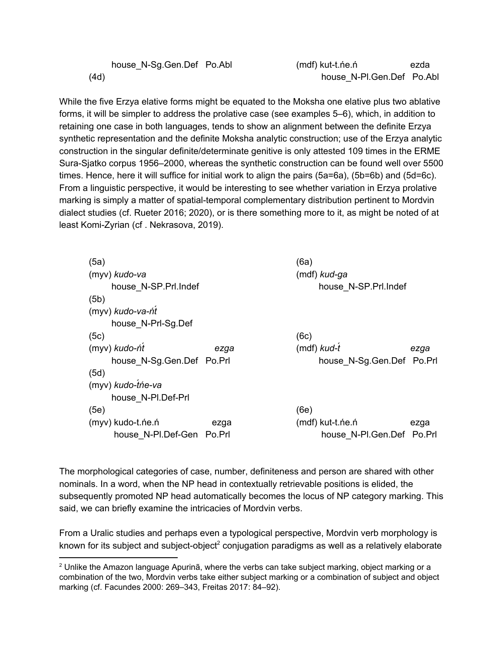house\_N-Sg.Gen.Def Po.Abl (4d) (mdf) kut-t.ńe.ń ezda house\_N-Pl.Gen.Def Po.Abl

While the five Erzya elative forms might be equated to the Moksha one elative plus two ablative forms, it will be simpler to address the prolative case (see examples 5–6), which, in addition to retaining one case in both languages, tends to show an alignment between the definite Erzya synthetic representation and the definite Moksha analytic construction; use of the Erzya analytic construction in the singular definite/determinate genitive is only attested 109 times in the ERME Sura-Sjatko corpus 1956–2000, whereas the synthetic construction can be found well over 5500 times. Hence, here it will suffice for initial work to align the pairs (5a=6a), (5b=6b) and (5d=6c). From a linguistic perspective, it would be interesting to see whether variation in Erzya prolative marking is simply a matter of spatial-temporal complementary distribution pertinent to Mordvin dialect studies (cf. Rueter 2016; 2020), or is there something more to it, as might be noted of at least Komi-Zyrian (cf . Nekrasova, 2019).

| (5a)                      |      | (6a)                      |      |
|---------------------------|------|---------------------------|------|
| (myv) kudo-va             |      | $(mdf)$ kud-ga            |      |
| house N-SP.Prl.Indef      |      | house N-SP.Prl.Indef      |      |
| (5b)                      |      |                           |      |
| (myv) kudo-va-ńt          |      |                           |      |
| house N-Prl-Sg.Def        |      |                           |      |
| (5c)                      |      | (6c)                      |      |
| (myv) kudo-ńt             | ezga | (mdf) kud-t               | ezga |
| house N-Sg.Gen.Def Po.Prl |      | house N-Sg.Gen.Def Po.Prl |      |
| (5d)                      |      |                           |      |
| (myv) kudo-tńe-va         |      |                           |      |
| house N-PI.Def-Prl        |      |                           |      |
| (5e)                      |      | (6e)                      |      |
| (myv) kudo-t.ne.n         | ezga | (mdf) kut-t.ńe.ń          | ezga |
| house N-PI.Def-Gen Po.Prl |      | house N-PI.Gen.Def Po.Prl |      |

The morphological categories of case, number, definiteness and person are shared with other nominals. In a word, when the NP head in contextually retrievable positions is elided, the subsequently promoted NP head automatically becomes the locus of NP category marking. This said, we can briefly examine the intricacies of Mordvin verbs.

From a Uralic studies and perhaps even a typological perspective, Mordvin verb morphology is known for its subject and subject-object<sup>2</sup> conjugation paradigms as well as a relatively elaborate

 $2$  Unlike the Amazon language Apurinã, where the verbs can take subject marking, object marking or a combination of the two, Mordvin verbs take either subject marking or a combination of subject and object marking (cf. Facundes 2000: 269–343, Freitas 2017: 84–92).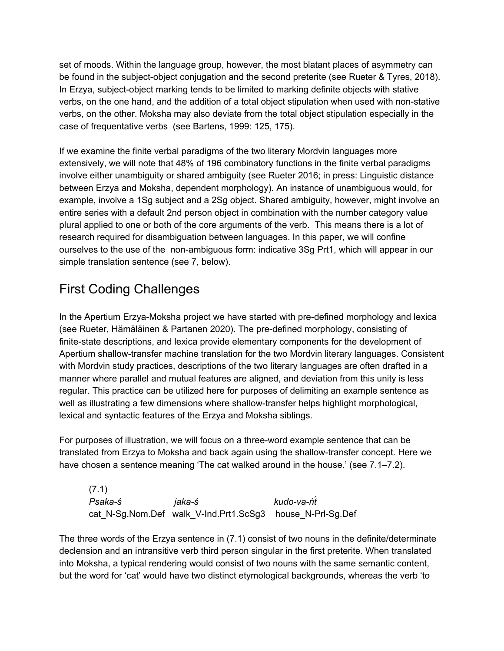set of moods. Within the language group, however, the most blatant places of asymmetry can be found in the subject-object conjugation and the second preterite (see Rueter & Tyres, 2018). In Erzya, subject-object marking tends to be limited to marking definite objects with stative verbs, on the one hand, and the addition of a total object stipulation when used with non-stative verbs, on the other. Moksha may also deviate from the total object stipulation especially in the case of frequentative verbs (see Bartens, 1999: 125, 175).

If we examine the finite verbal paradigms of the two literary Mordvin languages more extensively, we will note that 48% of 196 combinatory functions in the finite verbal paradigms involve either unambiguity or shared ambiguity (see Rueter 2016; in press: Linguistic distance between Erzya and Moksha, dependent morphology). An instance of unambiguous would, for example, involve a 1Sg subject and a 2Sg object. Shared ambiguity, however, might involve an entire series with a default 2nd person object in combination with the number category value plural applied to one or both of the core arguments of the verb. This means there is a lot of research required for disambiguation between languages. In this paper, we will confine ourselves to the use of the non-ambiguous form: indicative 3Sg Prt1, which will appear in our simple translation sentence (see 7, below).

# First Coding Challenges

In the Apertium Erzya-Moksha project we have started with pre-defined morphology and lexica (see Rueter, Hämäläinen & Partanen 2020). The pre-defined morphology, consisting of finite-state descriptions, and lexica provide elementary components for the development of Apertium shallow-transfer machine translation for the two Mordvin literary languages. Consistent with Mordvin study practices, descriptions of the two literary languages are often drafted in a manner where parallel and mutual features are aligned, and deviation from this unity is less regular. This practice can be utilized here for purposes of delimiting an example sentence as well as illustrating a few dimensions where shallow-transfer helps highlight morphological, lexical and syntactic features of the Erzya and Moksha siblings.

For purposes of illustration, we will focus on a three-word example sentence that can be translated from Erzya to Moksha and back again using the shallow-transfer concept. Here we have chosen a sentence meaning 'The cat walked around in the house.' (see 7.1–7.2).

(7.1) *Psaka-ś jaka-ś kudo-va-ńt́* cat\_N-Sg.Nom.Def walk\_V-Ind.Prt1.ScSg3 house\_N-Prl-Sg.Def

The three words of the Erzya sentence in (7.1) consist of two nouns in the definite/determinate declension and an intransitive verb third person singular in the first preterite. When translated into Moksha, a typical rendering would consist of two nouns with the same semantic content, but the word for 'cat' would have two distinct etymological backgrounds, whereas the verb 'to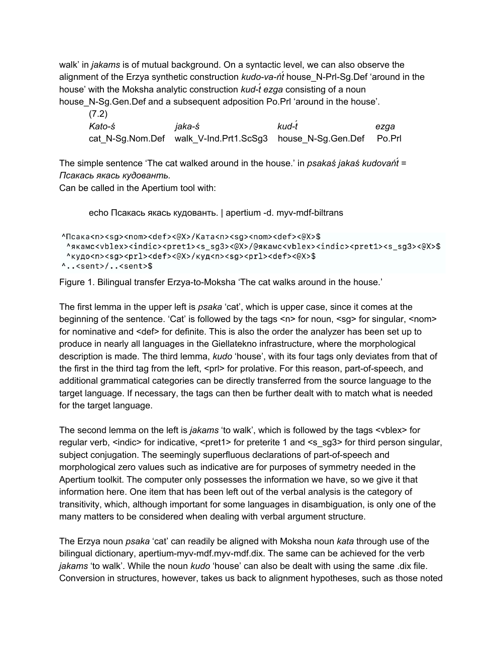walk' in *jakams* is of mutual background. On a syntactic level, we can also observe the alignment of the Erzya synthetic construction *kudo-va-ńt́* house\_N-Prl-Sg.Def 'around in the house' with the Moksha analytic construction *kud-t́ ezga* consisting of a noun house N-Sg.Gen.Def and a subsequent adposition Po.Prl 'around in the house'.

| (7.2)  |                                                                  |       |      |
|--------|------------------------------------------------------------------|-------|------|
| Kato-ś | iaka-ś                                                           | kud-t | ezaa |
|        | cat N-Sg.Nom.Def walk V-Ind.Prt1.ScSg3 house N-Sg.Gen.Def Po.Prl |       |      |

The simple sentence 'The cat walked around in the house.' in *psakaś jakaś kudovańt́* = *Псакась якась кудованть.*

Can be called in the Apertium tool with:

echo Псакась якась кудованть. | apertium -d. myv-mdf-biltrans

```
^Псака<n><sg><nom><def><@X>/Kaтa<n><sg><nom><def><@X>$
 Agramc<vblex><indic><pret1><s_sg3><@X>/@gramc<vblex><indic><pret1><s_sg3><@X>$
 ^кудо<n><sg><prl><def><@X>/куд<n><sg><prl><def><@X>$
\cdot..<sent>/..<sent>$
```
Figure 1. Bilingual transfer Erzya-to-Moksha 'The cat walks around in the house.'

The first lemma in the upper left is *psaka* 'cat', which is upper case, since it comes at the beginning of the sentence. 'Cat' is followed by the tags  $\langle n \rangle$  for noun,  $\langle s q \rangle$  for singular,  $\langle n q \rangle$ for nominative and <def> for definite. This is also the order the analyzer has been set up to produce in nearly all languages in the Giellatekno infrastructure, where the morphological description is made. The third lemma, *kudo* 'house', with its four tags only deviates from that of the first in the third tag from the left, <prl> for prolative. For this reason, part-of-speech, and additional grammatical categories can be directly transferred from the source language to the target language. If necessary, the tags can then be further dealt with to match what is needed for the target language.

The second lemma on the left is *jakams* 'to walk', which is followed by the tags <vblex> for regular verb, <indic> for indicative, <pret1> for preterite 1 and <s\_sg3> for third person singular, subject conjugation. The seemingly superfluous declarations of part-of-speech and morphological zero values such as indicative are for purposes of symmetry needed in the Apertium toolkit. The computer only possesses the information we have, so we give it that information here. One item that has been left out of the verbal analysis is the category of transitivity, which, although important for some languages in disambiguation, is only one of the many matters to be considered when dealing with verbal argument structure.

The Erzya noun *psaka* 'cat' can readily be aligned with Moksha noun *kata* through use of the bilingual dictionary, apertium-myv-mdf.myv-mdf.dix. The same can be achieved for the verb *jakams* 'to walk'. While the noun *kudo* 'house' can also be dealt with using the same .dix file. Conversion in structures, however, takes us back to alignment hypotheses, such as those noted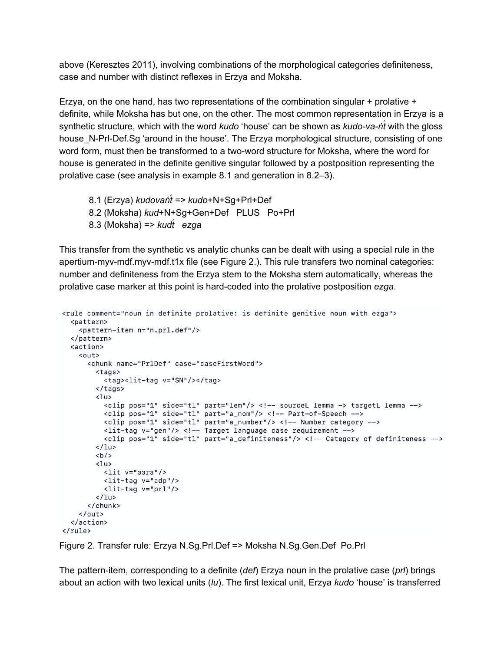above (Keresztes 2011), involving combinations of the morphological categories definiteness, case and number with distinct reflexes in Erzya and Moksha.

Erzya, on the one hand, has two representations of the combination singular + prolative + definite, while Moksha has but one, on the other. The most common representation in Erzya is a synthetic structure, which with the word *kudo* 'house' can be shown as *kudo-va-ńt́* with the gloss house N-Prl-Def.Sg 'around in the house'. The Erzya morphological structure, consisting of one word form, must then be transformed to a two-word structure for Moksha, where the word for house is generated in the definite genitive singular followed by a postposition representing the prolative case (see analysis in example 8.1 and generation in 8.2–3).

8.1 (Erzya) *kudovańt́ => kudo*+N+Sg+Prl+Def 8.2 (Moksha) *kud*+N+Sg+Gen+Def PLUS Po+Prl 8.3 (Moksha) => *kudt́ ezga*

This transfer from the synthetic vs analytic chunks can be dealt with using a special rule in the apertium-myv-mdf.myv-mdf.t1x file (see Figure 2.). This rule transfers two nominal categories: number and definiteness from the Erzya stem to the Moksha stem automatically, whereas the prolative case marker at this point is hard-coded into the prolative postposition *ezga*.

```
<rule comment="noun in definite prolative: is definite genitive noun with ezga">
  <pattern>
    <pattern-item n="n.prl.def"/>
  </pattern>
  <action>
    \langle 011<chunk name="PrlDef" case="caseFirstWord">
        <tags>
          <tag><lit-tag v="SN"/></tag>
        </tags>
        5112<clip pos="1" side="tl" part="lem"/> <!-- sourceL lemma -> targetL lemma -->
          <clip pos="1" side="tl" part="a_nom"/> <!-- Part-of-Speech -->
          <clip pos="1" side="tl" part="a_number"/> <!-- Number category -->
          <lit-tag v="gen"/> <!-- Target language case requirement -->
           <clip pos="1" side="tl" part="a_definiteness"/> <!-- Category of definiteness -->
        \langle/lu>

        \langlelu>
          \langlelit v="\existsзга"/>
          \left\langlelit-tag v="adp"/>
          <lit-tag v="prl"/>
        \langle/lu>
      </chunk>
    \langle/out>
  \langle/action>
\langle/rule>
```
Figure 2. Transfer rule: Erzya N.Sg.Prl.Def => Moksha N.Sg.Gen.Def Po.Prl

The pattern-item, corresponding to a definite (*def*) Erzya noun in the prolative case (*prl*) brings about an action with two lexical units (*lu*). The first lexical unit, Erzya *kudo* 'house' is transferred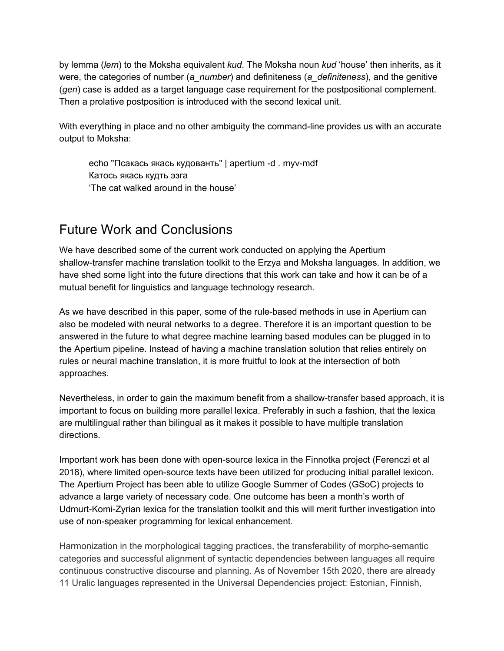by lemma (*lem*) to the Moksha equivalent *kud*. The Moksha noun *kud* 'house' then inherits, as it were, the categories of number (*a\_number*) and definiteness (*a\_definiteness*), and the genitive (*gen*) case is added as a target language case requirement for the postpositional complement. Then a prolative postposition is introduced with the second lexical unit.

With everything in place and no other ambiguity the command-line provides us with an accurate output to Moksha:

echo "Псакась якась кудованть" | apertium -d . myv-mdf Катось якась кудть эзга 'The cat walked around in the house'

#### Future Work and Conclusions

We have described some of the current work conducted on applying the Apertium shallow-transfer machine translation toolkit to the Erzya and Moksha languages. In addition, we have shed some light into the future directions that this work can take and how it can be of a mutual benefit for linguistics and language technology research.

As we have described in this paper, some of the rule-based methods in use in Apertium can also be modeled with neural networks to a degree. Therefore it is an important question to be answered in the future to what degree machine learning based modules can be plugged in to the Apertium pipeline. Instead of having a machine translation solution that relies entirely on rules or neural machine translation, it is more fruitful to look at the intersection of both approaches.

Nevertheless, in order to gain the maximum benefit from a shallow-transfer based approach, it is important to focus on building more parallel lexica. Preferably in such a fashion, that the lexica are multilingual rather than bilingual as it makes it possible to have multiple translation directions.

Important work has been done with open-source lexica in the Finnotka project (Ferenczi et al 2018), where limited open-source texts have been utilized for producing initial parallel lexicon. The Apertium Project has been able to utilize Google Summer of Codes (GSoC) projects to advance a large variety of necessary code. One outcome has been a month's worth of Udmurt-Komi-Zyrian lexica for the translation toolkit and this will merit further investigation into use of non-speaker programming for lexical enhancement.

Harmonization in the morphological tagging practices, the transferability of morpho-semantic categories and successful alignment of syntactic dependencies between languages all require continuous constructive discourse and planning. As of November 15th 2020, there are already 11 Uralic languages represented in the Universal Dependencies project: Estonian, Finnish,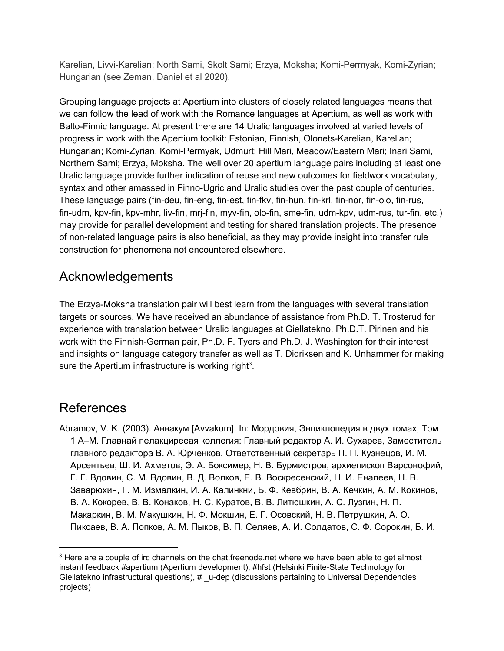Karelian, Livvi-Karelian; North Sami, Skolt Sami; Erzya, Moksha; Komi-Permyak, Komi-Zyrian; Hungarian (see Zeman, Daniel et al 2020).

Grouping language projects at Apertium into clusters of closely related languages means that we can follow the lead of work with the Romance languages at Apertium, as well as work with Balto-Finnic language. At present there are 14 Uralic languages involved at varied levels of progress in work with the Apertium toolkit: Estonian, Finnish, Olonets-Karelian, Karelian; Hungarian; Komi-Zyrian, Komi-Permyak, Udmurt; Hill Mari, Meadow/Eastern Mari; Inari Sami, Northern Sami; Erzya, Moksha. The well over 20 apertium language pairs including at least one Uralic language provide further indication of reuse and new outcomes for fieldwork vocabulary, syntax and other amassed in Finno-Ugric and Uralic studies over the past couple of centuries. These language pairs (fin-deu, fin-eng, fin-est, fin-fkv, fin-hun, fin-krl, fin-nor, fin-olo, fin-rus, fin-udm, kpv-fin, kpv-mhr, liv-fin, mrj-fin, myv-fin, olo-fin, sme-fin, udm-kpv, udm-rus, tur-fin, etc.) may provide for parallel development and testing for shared translation projects. The presence of non-related language pairs is also beneficial, as they may provide insight into transfer rule construction for phenomena not encountered elsewhere.

## Acknowledgements

The Erzya-Moksha translation pair will best learn from the languages with several translation targets or sources. We have received an abundance of assistance from Ph.D. T. Trosterud for experience with translation between Uralic languages at Giellatekno, Ph.D.T. Pirinen and his work with the Finnish-German pair, Ph.D. F. Tyers and Ph.D. J. Washington for their interest and insights on language category transfer as well as T. Didriksen and K. Unhammer for making sure the Apertium infrastructure is working right<sup>3</sup>.

#### References

Abramov, V. K. (2003). Аввакум [Avvakum]. In: Мордовия, Энциклопедия в двух томах, Том 1 А–М. Главнай пелакцирееая коллегия: Главный редактор А. И. Сухарев, Заместитель главного редактора В. А. Юрченков, Ответственный секретарь П. П. Кузнецов, И. М. Арсентьев, Ш. И. Ахметов, Э. А. Боксимер, Н. В. Бурмистров, архиепископ Варсонофий, Г. Г. Вдовин, С. М. Вдовин, В. Д. Волков, Е. В. Воскресенский, Н. И. Еналеев, Н. В. Заварюхин, Г. М. Измалкин, И. А. Калинкни, Б. Ф. Кевбрин, В. А. Кечкин, А. М. Кокинов, В. А. Кокорев, В. В. Конаков, Н. С. Куратов, В. В. Литюшкин, А. С. Лузгин, Н. П. Макаркин, В. М. Макушкин, Н. Ф. Мокшин, Е. Г. Осовский, Н. В. Петрушкин, А. О. Пиксаев, В. А. Попков, А. М. Пыков, В. П. Селяев, А. И. Солдатов, С. Ф. Сорокин, Б. И.

 $3$  Here are a couple of irc channels on the chat. freenode. net where we have been able to get almost instant feedback #apertium (Apertium development), #hfst (Helsinki Finite-State Technology for Giellatekno infrastructural questions), # \_u-dep (discussions pertaining to Universal Dependencies projects)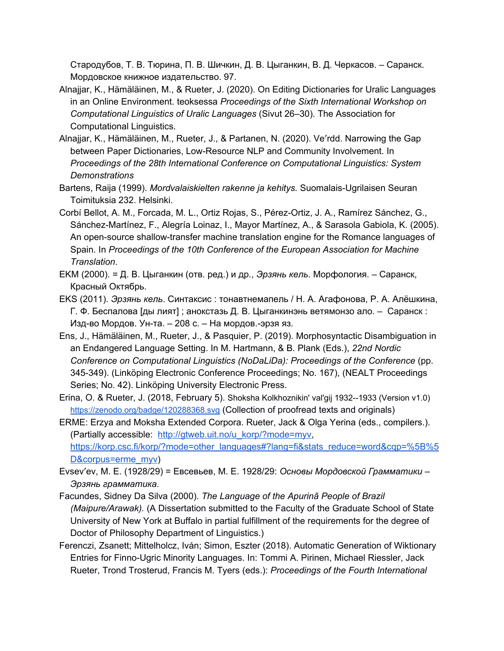Стародубов, Т. В. Тюрина, П. В. Шичкин, Д. В. Цыганкин, В. Д. Черкасов. – Саранск. Мордовское книжное издательство. 97.

- Alnajjar, K., Hämäläinen, M., & Rueter, J. (2020). On Editing Dictionaries for Uralic Languages in an Online Environment. teoksessa *Proceedings of the Sixth International Workshop on Computational Linguistics of Uralic Languages* (Sivut 26–30). The Association for Computational Linguistics.
- Alnajjar, K., Hämäläinen, M., Rueter, J., & Partanen, N. (2020). Veʹrdd. Narrowing the Gap between Paper Dictionaries, Low-Resource NLP and Community Involvement. In *Proceedings of the 28th International Conference on Computational Linguistics: System Demonstrations*
- Bartens, Raija (1999). *Mordvalaiskielten rakenne ja kehitys.* Suomalais-Ugrilaisen Seuran Toimituksia 232. Helsinki.
- Corbí Bellot, A. M., Forcada, M. L., Ortiz Rojas, S., Pérez-Ortiz, J. A., Ramírez Sánchez, G., Sánchez-Martínez, F., Alegría Loinaz, I., Mayor Martínez, A., & Sarasola Gabiola, K. (2005). An open-source shallow-transfer machine translation engine for the Romance languages of Spain. In *Proceedings of the 10th Conference of the European Association for Machine Translation*.
- EKM (2000). = Д. В. Цыганкин (отв. ред.) и др., *Эрзянь кель*. Морфология. Саранск, Красный Октябрь.
- EKS (2011). *Эрзянь кель*. Синтаксис : тонавтнемапель / Н. А. Агафонова, Р. А. Алёшкина, Г. Ф. Беспалова [ды лият] ; анокстазь Д. В. Цыганкинэнь ветямонзо ало. – Саранск : Изд-во Мордов. Ун-та. – 208 с. – На мордов.-эрзя яз.
- Ens, J., Hämäläinen, M., Rueter, J., & Pasquier, P. (2019). Morphosyntactic Disambiguation in an Endangered Language Setting. In M. Hartmann, & B. Plank (Eds.), *22nd Nordic Conference on Computational Linguistics (NoDaLiDa): Proceedings of the Conference* (pp. 345-349). (Linköping Electronic Conference Proceedings; No. 167), (NEALT Proceedings Series; No. 42). Linköping University Electronic Press.
- Erina, O. & Rueter, J. (2018, February 5). Shoksha Kolkhoznikin' val'gij 1932--1933 (Version v1.0) <https://zenodo.org/badge/120288368.svg> (Collection of proofread texts and originals)

ERME: Erzya and Moksha Extended Corpora. Rueter, Jack & Olga Yerina (eds., compilers.). (Partially accessible: [http://gtweb.uit.no/u\\_korp/?mode=myv,](http://gtweb.uit.no/u_korp/?mode=myv) [https://korp.csc.fi/korp/?mode=other\\_languages#?lang=fi&stats\\_reduce=word&cqp=%5B%5](https://korp.csc.fi/korp/?mode=other_languages#?lang=fi&stats_reduce=word&cqp=%5B%5D&corpus=erme_myv) [D&corpus=erme\\_myv](https://korp.csc.fi/korp/?mode=other_languages#?lang=fi&stats_reduce=word&cqp=%5B%5D&corpus=erme_myv))

- Evsevʹev, M. E. (1928/29) = Евсевьев, М. Е. 1928/29: *Основы Мордовской Грамматики – Эрзянь грамматика.*
- Facundes, Sidney Da Silva (2000). *The Language of the Apurinã People of Brazil (Maipure/Arawak).* (A Dissertation submitted to the Faculty of the Graduate School of State University of New York at Buffalo in partial fulfillment of the requirements for the degree of Doctor of Philosophy Department of Linguistics.)
- Ferenczi, Zsanett; Mittelholcz, Iván; Simon, Eszter (2018). Automatic Generation of Wiktionary Entries for Finno-Ugric Minority Languages. In: Tommi A. Pirinen, Michael Riessler, Jack Rueter, Trond Trosterud, Francis M. Tyers (eds.): *Proceedings of the Fourth International*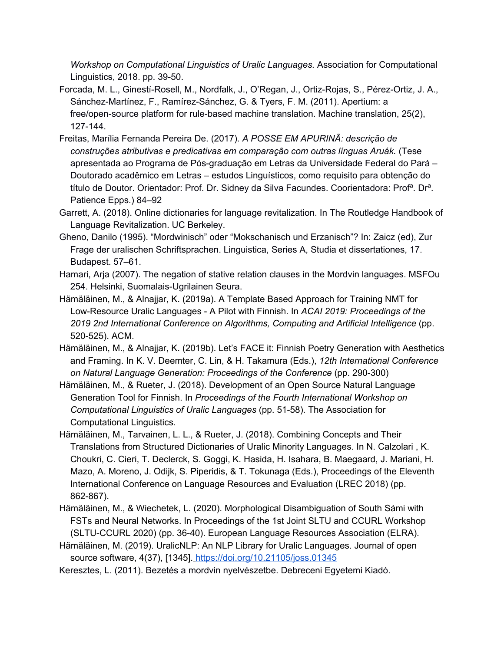*Workshop on Computational Linguistics of Uralic Languages.* Association for Computational Linguistics, 2018. pp. 39-50.

- Forcada, M. L., Ginestí-Rosell, M., Nordfalk, J., O'Regan, J., Ortiz-Rojas, S., Pérez-Ortiz, J. A., Sánchez-Martínez, F., Ramírez-Sánchez, G. & Tyers, F. M. (2011). Apertium: a free/open-source platform for rule-based machine translation. Machine translation, 25(2), 127-144.
- Freitas, Marília Fernanda Pereira De. (2017). *A POSSE EM APURINÃ: descrição de construções atributivas e predicativas em comparação com outras línguas Aruák.* (Tese apresentada ao Programa de Pós-graduação em Letras da Universidade Federal do Pará – Doutorado acadêmico em Letras – estudos Linguísticos, como requisito para obtenção do título de Doutor. Orientador: Prof. Dr. Sidney da Silva Facundes. Coorientadora: Profª. Drª. Patience Epps.) 84–92
- Garrett, A. (2018). Online dictionaries for language revitalization. In The Routledge Handbook of Language Revitalization. UC Berkeley.
- Gheno, Danilo (1995). "Mordwinisch" oder "Mokschanisch und Erzanisch"? In: Zaicz (ed), Zur Frage der uralischen Schriftsprachen. Linguistica, Series A, Studia et dissertationes, 17. Budapest. 57–61.
- Hamari, Arja (2007). The negation of stative relation clauses in the Mordvin languages. MSFOu 254. Helsinki, Suomalais-Ugrilainen Seura.
- Hämäläinen, M., & Alnajjar, K. (2019a). A Template Based Approach for Training NMT for Low-Resource Uralic Languages - A Pilot with Finnish. In *ACAI 2019: Proceedings of the 2019 2nd International Conference on Algorithms, Computing and Artificial Intelligence* (pp. 520-525). ACM.
- Hämäläinen, M., & Alnajjar, K. (2019b). Let's FACE it: Finnish Poetry Generation with Aesthetics and Framing. In K. V. Deemter, C. Lin, & H. Takamura (Eds.), *12th International Conference on Natural Language Generation: Proceedings of the Conference* (pp. 290-300)
- Hämäläinen, M., & Rueter, J. (2018). Development of an Open Source Natural Language Generation Tool for Finnish. In *Proceedings of the Fourth International Workshop on Computational Linguistics of Uralic Languages* (pp. 51-58). The Association for Computational Linguistics.
- Hämäläinen, M., Tarvainen, L. L., & Rueter, J. (2018). Combining Concepts and Their Translations from Structured Dictionaries of Uralic Minority Languages. In N. Calzolari , K. Choukri, C. Cieri, T. Declerck, S. Goggi, K. Hasida, H. Isahara, B. Maegaard, J. Mariani, H. Mazo, A. Moreno, J. Odijk, S. Piperidis, & T. Tokunaga (Eds.), Proceedings of the Eleventh International Conference on Language Resources and Evaluation (LREC 2018) (pp. 862-867).
- Hämäläinen, M., & Wiechetek, L. (2020). Morphological Disambiguation of South Sámi with FSTs and Neural Networks. In Proceedings of the 1st Joint SLTU and CCURL Workshop (SLTU-CCURL 2020) (pp. 36-40). European Language Resources Association (ELRA).
- Hämäläinen, M. (2019). UralicNLP: An NLP Library for Uralic Languages. Journal of open source software, 4(37), [1345]. <https://doi.org/10.21105/joss.01345>
- Keresztes, L. (2011). Bezetés a mordvin nyelvészetbe. Debreceni Egyetemi Kiadó.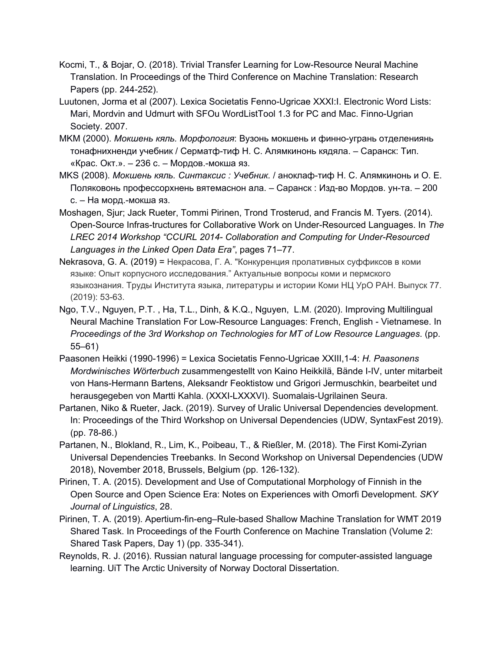- Kocmi, T., & Bojar, O. (2018). Trivial Transfer Learning for Low-Resource Neural Machine Translation. In Proceedings of the Third Conference on Machine Translation: Research Papers (pp. 244-252).
- Luutonen, Jorma et al (2007). Lexica Societatis Fenno-Ugricae XXXI:I. Electronic Word Lists: Mari, Mordvin and Udmurt with SFOu WordListTool 1.3 for PC and Mac. Finno-Ugrian Society. 2007.
- MKM (2000). *Мокшень кяль. Морфология*: Вузонь мокшень и финно-угрань отделениянь тонафнихненди учебник / Серматф-тиф Н. С. Алямкинонь кядяла. – Саранск: Тип. «Крас. Окт.». – 236 с. – Мордов.-мокша яз.
- MKS (2008). *Мокшень кяль. Синтаксис : Учебник.* / аноклаф-тиф Н. С. Алямкинонь и О. Е. Поляковонь профессорхнень вятемаснон ала. – Саранск : Изд-во Мордов. ун-та. – 200 с. – На морд.-мокша яз.
- Moshagen, Sjur; Jack Rueter, Tommi Pirinen, Trond Trosterud, and Francis M. Tyers. (2014). Open-Source Infras-tructures for Collaborative Work on Under-Resourced Languages. In *The LREC 2014 Workshop "CCURL 2014- Collaboration and Computing for Under-Resourced Languages in the Linked Open Data Era"*, pages 71–77.
- Nekrasova, G. A. (2019) = Некрасова, Г. А. "Конкуренция пролативных суффиксов в коми языке: Опыт корпусного исследования." Актуальные вопросы коми и пермского языкознания. Труды Института языка, литературы и истории Коми НЦ УрО РАН. Выпуск 77. (2019): 53-63.
- Ngo, T.V., Nguyen, P.T. , Ha, T.L., Dinh, & K.Q., Nguyen, L.M. (2020). Improving Multilingual Neural Machine Translation For Low-Resource Languages: French, English - Vietnamese. In *Proceedings of the 3rd Workshop on Technologies for MT of Low Resource Languages*. (pp. 55–61)
- Paasonen Heikki (1990-1996) = Lexica Societatis Fenno-Ugricae XXIII,1-4: *H. Paasonens Mordwinisches Wörterbuch* zusammengestellt von Kaino Heikkilä, Bände I-IV, unter mitarbeit von Hans-Hermann Bartens, Aleksandr Feoktistow und Grigori Jermuschkin, bearbeitet und herausgegeben von Martti Kahla. (XXXI-LXXXVI). Suomalais-Ugrilainen Seura.
- Partanen, Niko & Rueter, Jack. (2019). Survey of Uralic Universal Dependencies development. In: Proceedings of the Third Workshop on Universal Dependencies (UDW, SyntaxFest 2019). (pp. 78-86.)
- Partanen, N., Blokland, R., Lim, K., Poibeau, T., & Rießler, M. (2018). The First Komi-Zyrian Universal Dependencies Treebanks. In Second Workshop on Universal Dependencies (UDW 2018), November 2018, Brussels, Belgium (pp. 126-132).
- Pirinen, T. A. (2015). Development and Use of Computational Morphology of Finnish in the Open Source and Open Science Era: Notes on Experiences with Omorfi Development. *SKY Journal of Linguistics*, 28.
- Pirinen, T. A. (2019). Apertium-fin-eng–Rule-based Shallow Machine Translation for WMT 2019 Shared Task. In Proceedings of the Fourth Conference on Machine Translation (Volume 2: Shared Task Papers, Day 1) (pp. 335-341).
- Reynolds, R. J. (2016). Russian natural language processing for computer-assisted language learning. UiT The Arctic University of Norway Doctoral Dissertation.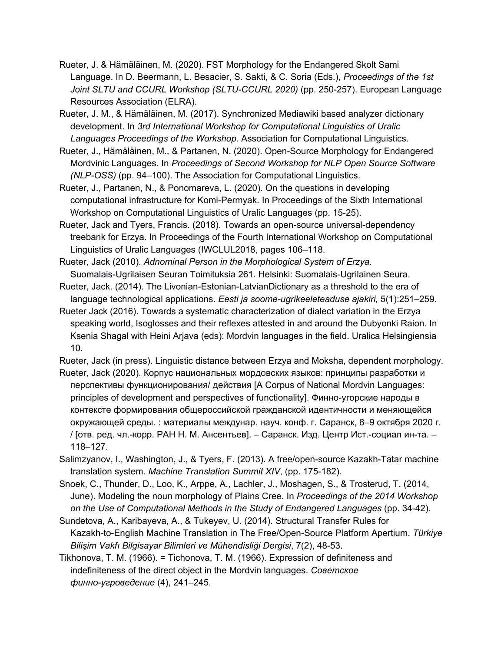- Rueter, J. & Hämäläinen, M. (2020). FST Morphology for the Endangered Skolt Sami Language. In D. Beermann, L. Besacier, S. Sakti, & C. Soria (Eds.), *Proceedings of the 1st Joint SLTU and CCURL Workshop (SLTU-CCURL 2020)* (pp. 250-257). European Language Resources Association (ELRA).
- Rueter, J. M., & Hämäläinen, M. (2017). Synchronized Mediawiki based analyzer dictionary development. In *3rd International Workshop for Computational Linguistics of Uralic Languages Proceedings of the Workshop*. Association for Computational Linguistics.
- Rueter, J., Hämäläinen, M., & Partanen, N. (2020). Open-Source Morphology for Endangered Mordvinic Languages. In *Proceedings of Second Workshop for NLP Open Source Software (NLP-OSS)* (pp. 94–100). The Association for Computational Linguistics.
- Rueter, J., Partanen, N., & Ponomareva, L. (2020). On the questions in developing computational infrastructure for Komi-Permyak. In Proceedings of the Sixth International Workshop on Computational Linguistics of Uralic Languages (pp. 15-25).
- Rueter, Jack and Tyers, Francis. (2018). Towards an open-source universal-dependency treebank for Erzya. In Proceedings of the Fourth International Workshop on Computational Linguistics of Uralic Languages (IWCLUL2018, pages 106–118.
- Rueter, Jack (2010). *Adnominal Person in the Morphological System of Erzya.* Suomalais-Ugrilaisen Seuran Toimituksia 261. Helsinki: Suomalais-Ugrilainen Seura.
- Rueter, Jack. (2014). The Livonian-Estonian-LatvianDictionary as a threshold to the era of language technological applications. *Eesti ja soome-ugrikeeleteaduse ajakiri,* 5(1):251–259.
- Rueter Jack (2016). Towards a systematic characterization of dialect variation in the Erzya speaking world, Isoglosses and their reflexes attested in and around the Dubyonki Raion. In Ksenia Shagal with Heini Arjava (eds): Mordvin languages in the field. Uralica Helsingiensia 10.
- Rueter, Jack (in press). Linguistic distance between Erzya and Moksha, dependent morphology.
- Rueter, Jack (2020). Корпус национальных мордовских языков: принципы разработки и перспективы функционирования/ действия [A Corpus of National Mordvin Languages: principles of development and perspectives of functionality]. Финно-угорские народы в контексте формирования общероссийской гражданской идентичности и меняющейся окружающей среды. : материалы междунар. науч. конф. г. Саранск, 8–9 октября 2020 г. / [отв. ред. чл.-корр. РАН Н. М. Ансентьев]. – Саранск. Изд. Центр Ист.-социал ин-та. – 118–127.
- Salimzyanov, I., Washington, J., & Tyers, F. (2013). A free/open-source Kazakh-Tatar machine translation system. *Machine Translation Summit XIV*, (pp. 175-182).
- Snoek, C., Thunder, D., Loo, K., Arppe, A., Lachler, J., Moshagen, S., & Trosterud, T. (2014, June). Modeling the noun morphology of Plains Cree. In *Proceedings of the 2014 Workshop on the Use of Computational Methods in the Study of Endangered Languages* (pp. 34-42).
- Sundetova, A., Karibayeva, A., & Tukeyev, U. (2014). Structural Transfer Rules for Kazakh-to-English Machine Translation in The Free/Open-Source Platform Apertium. *Türkiye Bilişim Vakfı Bilgisayar Bilimleri ve Mühendisliği Dergisi*, 7(2), 48-53.
- Tikhonova, T. M. (1966). = Tichonova, T. M. (1966). Expression of definiteness and indefiniteness of the direct object in the Mordvin languages. *Советское финно-угроведение* (4), 241–245.